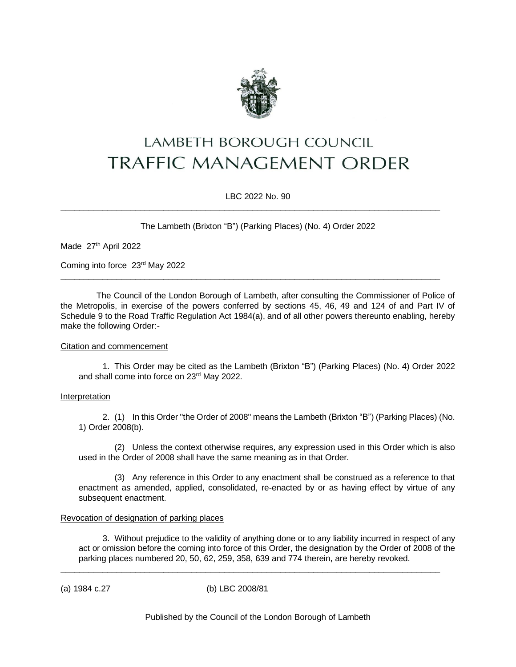

# LAMBETH BOROUGH COUNCIL **TRAFFIC MANAGEMENT ORDER**

LBC 2022 No. 90

 $\_$  ,  $\_$  ,  $\_$  ,  $\_$  ,  $\_$  ,  $\_$  ,  $\_$  ,  $\_$  ,  $\_$  ,  $\_$  ,  $\_$  ,  $\_$  ,  $\_$  ,  $\_$  ,  $\_$  ,  $\_$  ,  $\_$  ,  $\_$  ,  $\_$  ,  $\_$  ,  $\_$  ,  $\_$  ,  $\_$  ,  $\_$  ,  $\_$  ,  $\_$  ,  $\_$  ,  $\_$  ,  $\_$  ,  $\_$  ,  $\_$  ,  $\_$  ,  $\_$  ,  $\_$  ,  $\_$  ,  $\_$  ,  $\_$  ,

\_\_\_\_\_\_\_\_\_\_\_\_\_\_\_\_\_\_\_\_\_\_\_\_\_\_\_\_\_\_\_\_\_\_\_\_\_\_\_\_\_\_\_\_\_\_\_\_\_\_\_\_\_\_\_\_\_\_\_\_\_\_\_\_\_\_\_\_\_\_\_\_\_\_\_\_\_\_\_\_\_

The Lambeth (Brixton "B") (Parking Places) (No. 4) Order 2022

Made 27<sup>th</sup> April 2022

Coming into force 23<sup>rd</sup> May 2022

The Council of the London Borough of Lambeth, after consulting the Commissioner of Police of the Metropolis, in exercise of the powers conferred by sections 45, 46, 49 and 124 of and Part IV of Schedule 9 to the Road Traffic Regulation Act 1984(a), and of all other powers thereunto enabling, hereby make the following Order:-

#### Citation and commencement

1. This Order may be cited as the Lambeth (Brixton "B") (Parking Places) (No. 4) Order 2022 and shall come into force on 23<sup>rd</sup> May 2022.

#### Interpretation

2. (1) In this Order "the Order of 2008" means the Lambeth (Brixton "B") (Parking Places) (No. 1) Order 2008(b).

(2) Unless the context otherwise requires, any expression used in this Order which is also used in the Order of 2008 shall have the same meaning as in that Order.

(3) Any reference in this Order to any enactment shall be construed as a reference to that enactment as amended, applied, consolidated, re-enacted by or as having effect by virtue of any subsequent enactment.

## Revocation of designation of parking places

3. Without prejudice to the validity of anything done or to any liability incurred in respect of any act or omission before the coming into force of this Order, the designation by the Order of 2008 of the parking places numbered 20, 50, 62, 259, 358, 639 and 774 therein, are hereby revoked.

(a) 1984 c.27 (b) LBC 2008/81

\_\_\_\_\_\_\_\_\_\_\_\_\_\_\_\_\_\_\_\_\_\_\_\_\_\_\_\_\_\_\_\_\_\_\_\_\_\_\_\_\_\_\_\_\_\_\_\_\_\_\_\_\_\_\_\_\_\_\_\_\_\_\_\_\_\_\_\_\_\_\_\_\_\_\_\_\_\_\_\_\_

Published by the Council of the London Borough of Lambeth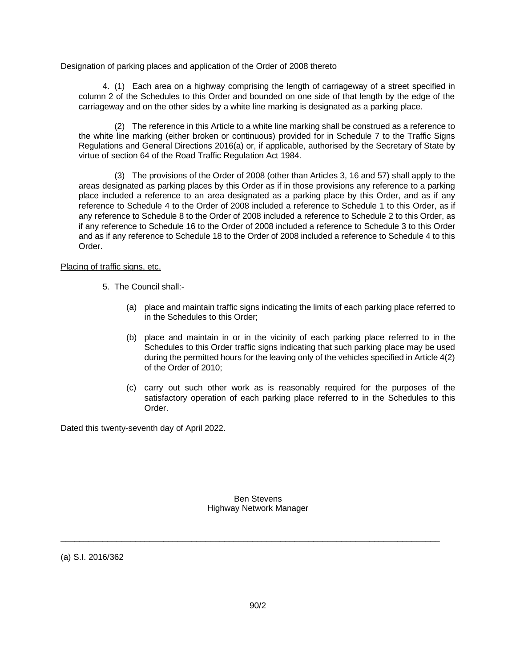#### Designation of parking places and application of the Order of 2008 thereto

4. (1) Each area on a highway comprising the length of carriageway of a street specified in column 2 of the Schedules to this Order and bounded on one side of that length by the edge of the carriageway and on the other sides by a white line marking is designated as a parking place.

(2) The reference in this Article to a white line marking shall be construed as a reference to the white line marking (either broken or continuous) provided for in Schedule 7 to the Traffic Signs Regulations and General Directions 2016(a) or, if applicable, authorised by the Secretary of State by virtue of section 64 of the Road Traffic Regulation Act 1984.

(3) The provisions of the Order of 2008 (other than Articles 3, 16 and 57) shall apply to the areas designated as parking places by this Order as if in those provisions any reference to a parking place included a reference to an area designated as a parking place by this Order, and as if any reference to Schedule 4 to the Order of 2008 included a reference to Schedule 1 to this Order, as if any reference to Schedule 8 to the Order of 2008 included a reference to Schedule 2 to this Order, as if any reference to Schedule 16 to the Order of 2008 included a reference to Schedule 3 to this Order and as if any reference to Schedule 18 to the Order of 2008 included a reference to Schedule 4 to this Order.

#### Placing of traffic signs, etc.

- 5. The Council shall:-
	- (a) place and maintain traffic signs indicating the limits of each parking place referred to in the Schedules to this Order;
	- (b) place and maintain in or in the vicinity of each parking place referred to in the Schedules to this Order traffic signs indicating that such parking place may be used during the permitted hours for the leaving only of the vehicles specified in Article 4(2) of the Order of 2010;
	- (c) carry out such other work as is reasonably required for the purposes of the satisfactory operation of each parking place referred to in the Schedules to this Order.

Dated this twenty-seventh day of April 2022.

Ben Stevens Highway Network Manager

\_\_\_\_\_\_\_\_\_\_\_\_\_\_\_\_\_\_\_\_\_\_\_\_\_\_\_\_\_\_\_\_\_\_\_\_\_\_\_\_\_\_\_\_\_\_\_\_\_\_\_\_\_\_\_\_\_\_\_\_\_\_\_\_\_\_\_\_\_\_\_\_\_\_\_\_\_\_\_\_\_

(a) S.I. 2016/362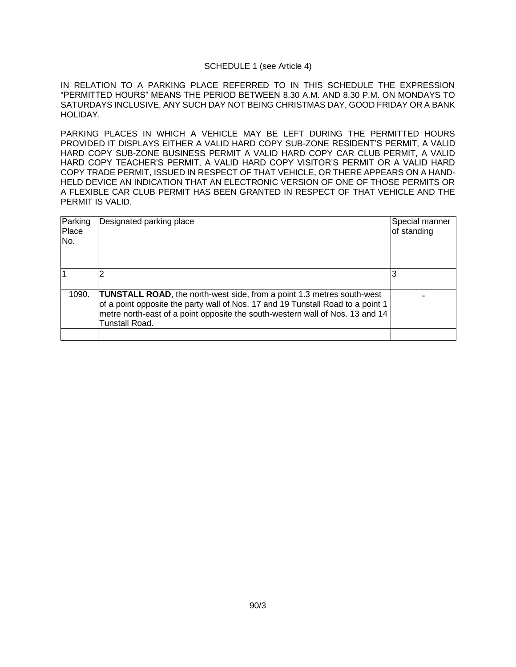#### SCHEDULE 1 (see Article 4)

IN RELATION TO A PARKING PLACE REFERRED TO IN THIS SCHEDULE THE EXPRESSION "PERMITTED HOURS" MEANS THE PERIOD BETWEEN 8.30 A.M. AND 8.30 P.M. ON MONDAYS TO SATURDAYS INCLUSIVE, ANY SUCH DAY NOT BEING CHRISTMAS DAY, GOOD FRIDAY OR A BANK HOLIDAY.

PARKING PLACES IN WHICH A VEHICLE MAY BE LEFT DURING THE PERMITTED HOURS PROVIDED IT DISPLAYS EITHER A VALID HARD COPY SUB-ZONE RESIDENT'S PERMIT, A VALID HARD COPY SUB-ZONE BUSINESS PERMIT A VALID HARD COPY CAR CLUB PERMIT, A VALID HARD COPY TEACHER'S PERMIT, A VALID HARD COPY VISITOR'S PERMIT OR A VALID HARD COPY TRADE PERMIT, ISSUED IN RESPECT OF THAT VEHICLE, OR THERE APPEARS ON A HAND-HELD DEVICE AN INDICATION THAT AN ELECTRONIC VERSION OF ONE OF THOSE PERMITS OR A FLEXIBLE CAR CLUB PERMIT HAS BEEN GRANTED IN RESPECT OF THAT VEHICLE AND THE PERMIT IS VALID.

| Parking<br>Place<br>No. | Designated parking place                                                                                                                                                                                                                                                   | Special manner<br>of standing |
|-------------------------|----------------------------------------------------------------------------------------------------------------------------------------------------------------------------------------------------------------------------------------------------------------------------|-------------------------------|
|                         |                                                                                                                                                                                                                                                                            |                               |
|                         |                                                                                                                                                                                                                                                                            |                               |
| 1090.                   | <b>TUNSTALL ROAD, the north-west side, from a point 1.3 metres south-west</b><br>of a point opposite the party wall of Nos. 17 and 19 Tunstall Road to a point 1<br>metre north-east of a point opposite the south-western wall of Nos. 13 and 14<br><b>Tunstall Road.</b> |                               |
|                         |                                                                                                                                                                                                                                                                            |                               |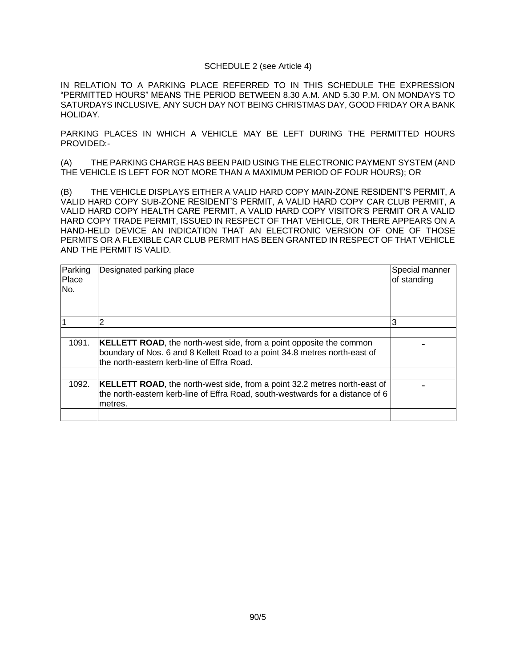#### SCHEDULE 2 (see Article 4)

IN RELATION TO A PARKING PLACE REFERRED TO IN THIS SCHEDULE THE EXPRESSION "PERMITTED HOURS" MEANS THE PERIOD BETWEEN 8.30 A.M. AND 5.30 P.M. ON MONDAYS TO SATURDAYS INCLUSIVE, ANY SUCH DAY NOT BEING CHRISTMAS DAY, GOOD FRIDAY OR A BANK HOLIDAY.

PARKING PLACES IN WHICH A VEHICLE MAY BE LEFT DURING THE PERMITTED HOURS PROVIDED:-

(A) THE PARKING CHARGE HAS BEEN PAID USING THE ELECTRONIC PAYMENT SYSTEM (AND THE VEHICLE IS LEFT FOR NOT MORE THAN A MAXIMUM PERIOD OF FOUR HOURS); OR

(B) THE VEHICLE DISPLAYS EITHER A VALID HARD COPY MAIN-ZONE RESIDENT'S PERMIT, A VALID HARD COPY SUB-ZONE RESIDENT'S PERMIT, A VALID HARD COPY CAR CLUB PERMIT, A VALID HARD COPY HEALTH CARE PERMIT, A VALID HARD COPY VISITOR'S PERMIT OR A VALID HARD COPY TRADE PERMIT, ISSUED IN RESPECT OF THAT VEHICLE, OR THERE APPEARS ON A HAND-HELD DEVICE AN INDICATION THAT AN ELECTRONIC VERSION OF ONE OF THOSE PERMITS OR A FLEXIBLE CAR CLUB PERMIT HAS BEEN GRANTED IN RESPECT OF THAT VEHICLE AND THE PERMIT IS VALID.

| Parking<br>Place<br>No. | Designated parking place                                                                                                                                                                                | Special manner<br>of standing |
|-------------------------|---------------------------------------------------------------------------------------------------------------------------------------------------------------------------------------------------------|-------------------------------|
|                         |                                                                                                                                                                                                         | 3                             |
|                         |                                                                                                                                                                                                         |                               |
| 1091.                   | <b>KELLETT ROAD</b> , the north-west side, from a point opposite the common<br>boundary of Nos. 6 and 8 Kellett Road to a point 34.8 metres north-east of<br>the north-eastern kerb-line of Effra Road. |                               |
|                         |                                                                                                                                                                                                         |                               |
| 1092.                   | <b>KELLETT ROAD</b> , the north-west side, from a point 32.2 metres north-east of<br>the north-eastern kerb-line of Effra Road, south-westwards for a distance of 6<br>metres.                          |                               |
|                         |                                                                                                                                                                                                         |                               |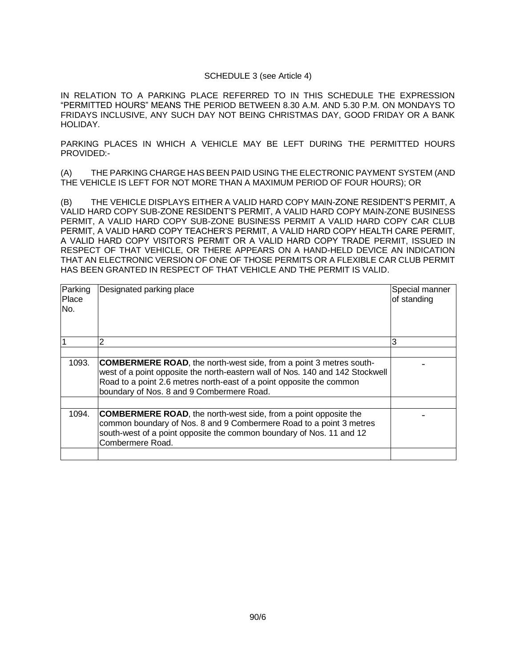### SCHEDULE 3 (see Article 4)

IN RELATION TO A PARKING PLACE REFERRED TO IN THIS SCHEDULE THE EXPRESSION "PERMITTED HOURS" MEANS THE PERIOD BETWEEN 8.30 A.M. AND 5.30 P.M. ON MONDAYS TO FRIDAYS INCLUSIVE, ANY SUCH DAY NOT BEING CHRISTMAS DAY, GOOD FRIDAY OR A BANK HOLIDAY.

PARKING PLACES IN WHICH A VEHICLE MAY BE LEFT DURING THE PERMITTED HOURS PROVIDED:-

(A) THE PARKING CHARGE HAS BEEN PAID USING THE ELECTRONIC PAYMENT SYSTEM (AND THE VEHICLE IS LEFT FOR NOT MORE THAN A MAXIMUM PERIOD OF FOUR HOURS); OR

(B) THE VEHICLE DISPLAYS EITHER A VALID HARD COPY MAIN-ZONE RESIDENT'S PERMIT, A VALID HARD COPY SUB-ZONE RESIDENT'S PERMIT, A VALID HARD COPY MAIN-ZONE BUSINESS PERMIT, A VALID HARD COPY SUB-ZONE BUSINESS PERMIT A VALID HARD COPY CAR CLUB PERMIT, A VALID HARD COPY TEACHER'S PERMIT, A VALID HARD COPY HEALTH CARE PERMIT, A VALID HARD COPY VISITOR'S PERMIT OR A VALID HARD COPY TRADE PERMIT, ISSUED IN RESPECT OF THAT VEHICLE, OR THERE APPEARS ON A HAND-HELD DEVICE AN INDICATION THAT AN ELECTRONIC VERSION OF ONE OF THOSE PERMITS OR A FLEXIBLE CAR CLUB PERMIT HAS BEEN GRANTED IN RESPECT OF THAT VEHICLE AND THE PERMIT IS VALID.

| Parking<br>Place<br>No. | Designated parking place                                                                                                                                                                                                                                                        | Special manner<br>of standing |
|-------------------------|---------------------------------------------------------------------------------------------------------------------------------------------------------------------------------------------------------------------------------------------------------------------------------|-------------------------------|
|                         | 2                                                                                                                                                                                                                                                                               | 3                             |
|                         |                                                                                                                                                                                                                                                                                 |                               |
| 1093.                   | <b>COMBERMERE ROAD, the north-west side, from a point 3 metres south-</b><br>west of a point opposite the north-eastern wall of Nos. 140 and 142 Stockwell<br>Road to a point 2.6 metres north-east of a point opposite the common<br>boundary of Nos. 8 and 9 Combermere Road. |                               |
|                         |                                                                                                                                                                                                                                                                                 |                               |
| 1094.                   | <b>COMBERMERE ROAD, the north-west side, from a point opposite the</b><br>common boundary of Nos. 8 and 9 Combermere Road to a point 3 metres<br>south-west of a point opposite the common boundary of Nos. 11 and 12<br>Combermere Road.                                       |                               |
|                         |                                                                                                                                                                                                                                                                                 |                               |